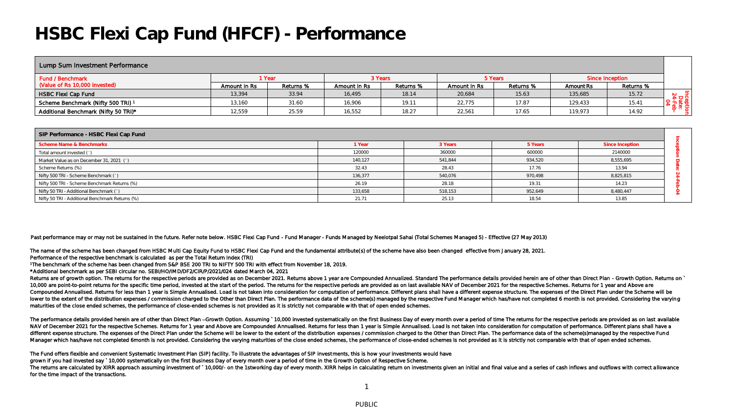## **HSBC Flexi Cap Fund (HFCF) - Performance**

| Lump Sum Investment Performance      |              |           |              |           |              |           |           |                 |     |
|--------------------------------------|--------------|-----------|--------------|-----------|--------------|-----------|-----------|-----------------|-----|
| Fund / Benchmark                     | 1 Year       |           |              | 3 Years   | 5 Years      |           |           | Since Inception |     |
| (Value of Rs 10,000 invested)        | Amount in Rs | Returns % | Amount in Rs | Returns % | Amount in Rs | Returns % | Amount Rs | Returns %       |     |
| HSBC Flexi Cap Fund                  | 13,394       | 33.94     | 16,495       | 18.14     | 20,684       | 15.63     | 135,685   | 15.72           | ∘ה≤ |
| Scheme Benchmark (Nifty 500 TRI) 1   | 13.160       | 31.60     | 16,906       | 19.11     | 22.775       | 17.87     | 129,433   | 15.41           |     |
| Additional Benchmark (Nifty 50 TRI)* | 12,559       | 25.59     | 16,552       | 18.27     | 22,561       | 17.65     | 119,973   | 14.92           |     |

| SIP Performance - HSBC Flexi Cap Fund           |         |         |         |                 |  |  |
|-------------------------------------------------|---------|---------|---------|-----------------|--|--|
| Scheme Name & Benchmarks                        | 1 Year  | 3 Years | 5 Years | Since Inception |  |  |
| Total amount invested (`)                       | 120000  | 360000  | 600000  | 2140000         |  |  |
| Market Value as on December 31, 2021 (`)        | 140.127 | 541.844 | 934,520 | 8,555,695       |  |  |
| Scheme Returns (%)                              | 32.43   | 28.43   | 17.76   | 13.94           |  |  |
| Nifty 500 TRI - Scheme Benchmark (`)            | 136.377 | 540,076 | 970,498 | 8,825,815       |  |  |
| Nifty 500 TRI - Scheme Benchmark Returns (%)    | 26.19   | 28.18   | 19.31   | 14.23           |  |  |
| Nifty 50 TRI - Additional Benchmark (`)         | 133,658 | 518,153 | 952,649 | 8,480,447       |  |  |
| Nifty 50 TRI - Additional Benchmark Returns (%) | 21.71   | 25.13   | 18.54   | 13.85           |  |  |

Past performance may or may not be sustained in the future. Refer note below. HSBC Flexi Cap Fund - Fund Manager - Funds Managed by Neelotpal Sahai (Total Schemes Managed 5) - Effective (27 May 2013)

The name of the scheme has been changed from HSBC Multi Cap Equity Fund to HSBC Flexi Cap Fund and the fundamental attribute( s) of the scheme have also been changed effective from January 28, 2021. Performance of the respective benchmark is calculated as per the Total Return Index (TRI)

<sup>1</sup>The benchmark of the scheme has been changed from S&P BSE 200 TRI to NIFTY 500 TRI with effect from November 18, 2019.

\*Additional benchmark as per SEBI circular no. SEBI/HO/IMD/DF2/CIR/P/2021/024 dated March 04, 2021

Returns are of growth option. The returns for the respective periods are provided as on December 2021. Returns above 1 year are Compounded Annualized. Standard The performance details provided herein are of other than Dire 10,000 are point-to-point returns for the specific time period, invested at the start of the period. The returns for the respective periods are provided as on last available NAV of December 2021 for the respective Schemes. Compounded Annualised. Returns for less than 1 year is Simple Annualised. Load is not taken into consideration for computation of performance. Different plans shall have a different expense structure. The expenses of the D lower to the extent of the distribution expenses / commission charged to the Other than Direct Plan. The performance data of the scheme(s) managed by the respective Fund Manager which has/have not completed 6 month is not maturities of the close ended schemes, the performance of close-ended schemes is not provided as it is strictly not comparable with that of open ended schemes.

The performance details provided herein are of other than Direct Plan -Growth Option. Assuming ` 10,000 invested systematically on the first Business Day of every month over a period of time The returns for the respective NAV of December 2021 for the respective Schemes. Returns for 1 year and Above are Compounded Annualised. Returns for less than 1 year is Simple Annualised. Load is not taken into consideration for computation of performanc different expense structure. The expenses of the Direct Plan under the Scheme will be lower to the extent of the distribution expenses / commission charged to the Other than Direct Plan. The performance data of the scheme( Manager which has/have not completed 6month is not provided. Considering the varying maturities of the close ended schemes, the performance of close-ended schemes is not provided as it is strictly not comparable with that

The Fund offers flexible and convenient Systematic Investment Plan (SIP) facility. To illustrate the advantages of SIP investments, this is how your investments would have

grown if you had invested say ` 10,000 systematically on the first Business Day of every month over a period of time in the G rowth Option of Respective Scheme.

The returns are calculated by XIRR approach assuming investment of ` 10,000/- on the 1stworking day of every month. XIRR helps in calculating return on investments given an initial and final value and a series of cash infl for the time impact of the transactions.

1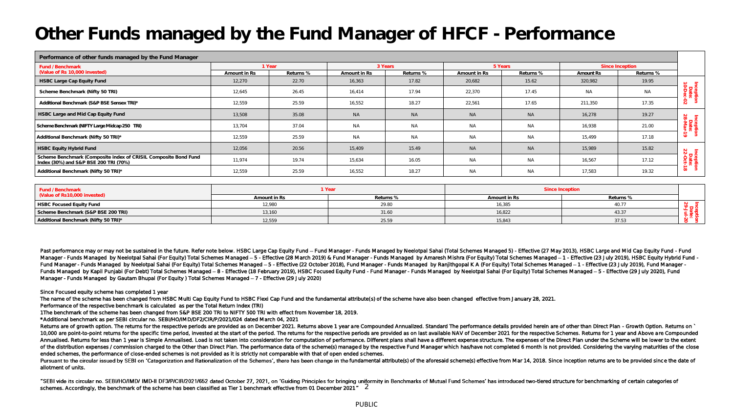# **Other Funds managed by the Fund Manager of HFCF - Performance**

| Performance of other funds managed by the Fund Manager                                                   |              |           |              |           |              |           |                 |           |                                      |
|----------------------------------------------------------------------------------------------------------|--------------|-----------|--------------|-----------|--------------|-----------|-----------------|-----------|--------------------------------------|
| Fund / Benchmark                                                                                         | 1 Year       |           | 3 Years      |           | 5 Years      |           | Since Inception |           |                                      |
| (Value of Rs 10,000 invested)                                                                            | Amount in Rs | Returns % | Amount in Rs | Returns % | Amount in Rs | Returns % | Amount Rs       | Returns % |                                      |
| HSBC Large Cap Equity Fund                                                                               | 12,270       | 22.70     | 16,363       | 17.82     | 20,682       | 15.62     | 320,982         | 19.95     |                                      |
| Scheme Benchmark (Nifty 50 TRI)                                                                          | 12,645       | 26.45     | 16,414       | 17.94     | 22,370       | 17.45     | <b>NA</b>       | <b>NA</b> | Inceptit<br>Date:<br>10-Dec-         |
| Additional Benchmark (S&P BSE Sensex TRI)*                                                               | 12,559       | 25.59     | 16,552       | 18.27     | 22,561       | 17.65     | 211,350         | 17.35     | S.                                   |
| HSBC Large and Mid Cap Equity Fund                                                                       | 13,508       | 35.08     | <b>NA</b>    | <b>NA</b> | <b>NA</b>    | <b>NA</b> | 16,278          | 19.27     | $\sim$<br>$\overline{5}$<br>$\infty$ |
| Scheme Benchmark (NIFTY Large Midcap 250 TRI)                                                            | 13,704       | 37.04     | <b>NA</b>    | <b>NA</b> | <b>NA</b>    | <b>NA</b> | 16,938          | 21.00     | nceptik<br>Date:<br>3-Mar-           |
| Additional Benchmark (Nifty 50 TRI)*                                                                     | 12,559       | 25.59     | <b>NA</b>    | <b>NA</b> | <b>NA</b>    | <b>NA</b> | 15,499          | 17.18     | $\vec{5}$                            |
| <b>HSBC Equity Hybrid Fund</b>                                                                           | 12,056       | 20.56     | 15,409       | 15.49     | <b>NA</b>    | <b>NA</b> | 15,989          | 15.82     |                                      |
| Scheme Benchmark (Composite index of CRISIL Composite Bond Fund<br>Index (30%) and S&P BSE 200 TRI (70%) | 11,974       | 19.74     | 15,634       | 16.05     | <b>NA</b>    | <b>NA</b> | 16,567          | 17.12     | Inceptio<br>Date:<br>22-Oct-1        |
| Additional Benchmark (Nifty 50 TRI)*                                                                     | 12,559       | 25.59     | 16,552       | 18.27     | <b>NA</b>    | <b>NA</b> | 17,583          | 19.32     | $\vec{a}$                            |

| Fund / Benchmark                     | <sup>1</sup> Year |           | Since Inception |           |  |
|--------------------------------------|-------------------|-----------|-----------------|-----------|--|
| Value of Rs10,000 invested)          | Amount in Rs      | Returns % | Amount in Rs    | Returns % |  |
| HSBC Focused Equity Fund             | 12.980            | 29.8C     | 16,385          |           |  |
| Scheme Benchmark (S&P BSE 200 TRI)   | 13,160            | 31.60     | 16,822          | 43.37     |  |
| Additional Benchmark (Nifty 50 TRI)* | 12,559            | 25.59     | 15,843          | 37.53     |  |

Past performance may or may not be sustained in the future. Refer note below. HSBC Large Cap Equity Fund - Fund Manager - Funds Managed by Neelotpal Sahai (Total Schemes Managed 5) - Effective (27 May 2013), HSBC Large and Manager - Funds Managed by Neelotpal Sahai (For Equity) Total Schemes Managed - 5 - Effective (28 March 2019) & Fund Manager - Funds Managed by Amaresh Mishra (For Equity) Total Schemes Managed -1 - Effective (23 July 2019 Fund Manager - Funds Managed by Neelotpal Sahal (For Equity) Total Schemes Managed - 5 - Effective (22 October 2018), Fund Manager - Funds Managed by Ranlithgopal K A (For Equity) Total Schemes Managed -1 - Effective (23 J Funds Managed by Kapil Puniabi (For Debt) Total Schemes Managed - 8 - Effective (18 February 2019), HSBC Focused Equity Fund - Fund Manager - Funds Managed by Neelotpal Sahal (For Equity) Total Schemes Managed - 5 - Effect Manager - Funds Managed by Gautam Bhupal (For Equity) Total Schemes Managed - 7 - Effective (29 July 2020)

Since Focused equity scheme has completed 1 year

The name of the scheme has been changed from HSBC Multi Cap Equity Fund to HSBC Flexi Cap Fund and the fundamental attribute( s) of the scheme have also been changed effective from January 28, 2021.

Performance of the respective benchmark is calculated as per the Total Return Index (TRI)

1The benchmark of the scheme has been changed from S&P BSE 200 TRI to NIFTY 500 TRI with effect from November 18, 2019.

\*Additional benchmark as per SEBI circular no. SEBI/HO/IMD/DF2/CIR/P/2021/024 dated March 04, 2021

Returns are of growth option. The returns for the respective periods are provided as on December 2021. Returns above 1 year are Compounded Annualized. Standard The performance details provided herein are of other than Dire 10,000 are point-to-point returns for the specific time period, invested at the start of the period. The returns for the respective periods are provided as on last available NAV of December 2021 for the respective Schemes. Annualised. Returns for less than 1 year is Simple Annualised. Load is not taken into consideration for computation of performance. Different plans shall have a different expense structure. The expenses of the Direct Plan of the distribution expenses / commission charged to the Other than Direct Plan. The performance data of the scheme(s) managed by the respective Fund Manager which has/have not completed 6 month is not provided. Considerin ended schemes, the performance of close-ended schemes is not provided as it is strictly not comparable with that of open ended schemes.

Pursuant to the circular issued by SEBI on 'Categorization and Rationalization of the Schemes', there has been change in the fundamental attribute(s) of the aforesaid scheme(s) effective from Mar 14, 2018. Since inception allotment of units.

schemes. Accordingly, the benchmark of the scheme has been classified as Tier 1 benchmark effective from 01 December 2021" 2 "SEBI vide its circular no. SEBI/HO/IMD/ IMD-II DF3/P/CIR/2021/652 dated October 27, 2021, on 'Guiding Principles for bringing uniformity in Benchmarks of Mutual Fund Schemes' has introduced two-tlered structure for benchm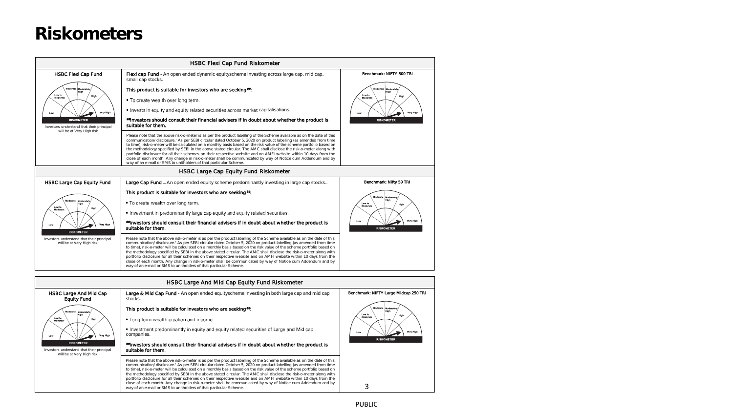### **Riskometers**

| HSBC Flexi Cap Fund Riskometer                                                                            |                                                                                                                                                                                                                                                                                                                                                                                                                                                                                                                                                                                                                                                                                                                                                                                                                                                                                                                          |                                                                                                           |  |  |  |  |  |
|-----------------------------------------------------------------------------------------------------------|--------------------------------------------------------------------------------------------------------------------------------------------------------------------------------------------------------------------------------------------------------------------------------------------------------------------------------------------------------------------------------------------------------------------------------------------------------------------------------------------------------------------------------------------------------------------------------------------------------------------------------------------------------------------------------------------------------------------------------------------------------------------------------------------------------------------------------------------------------------------------------------------------------------------------|-----------------------------------------------------------------------------------------------------------|--|--|--|--|--|
| <b>HSBC Flexi Cap Fund</b><br>Moderate Moderate<br>High<br>Low to<br>High<br>Moderate<br>Very High<br>Low | Flexi cap Fund - An open ended dynamic equityscheme investing across large cap, mid cap,<br>small cap stocks.<br>This product is suitable for investors who are seeking":<br>. To create wealth over long term.<br>. Invests in equity and equity related securities across market capitalisations.                                                                                                                                                                                                                                                                                                                                                                                                                                                                                                                                                                                                                      | Benchmark: NIFTY 500 TRI<br>Moderate Moderately<br>High<br>Low to<br>High<br>Moderate<br>Very High<br>Low |  |  |  |  |  |
| <b>RISKOMETER</b><br>Investors understand that their principal<br>will be at Very High risk               | #Investors should consult their financial advisers if in doubt about whether the product is<br>suitable for them.<br>Please note that the above risk-o-meter is as per the product labelling of the Scheme available as on the date of this<br>communication/ disclosure.' As per SEBI circular dated October 5, 2020 on product labelling (as amended from time<br>to time), risk-o-meter will be calculated on a monthly basis based on the risk value of the scheme portfolio based on<br>the methodology specified by SEBI in the above stated circular. The AMC shall disclose the risk-o-meter along with<br>portfolio disclosure for all their schemes on their respective website and on AMFI website within 10 days from the<br>close of each month. Any change in risk-o-meter shall be communicated by way of Notice cum Addendum and by<br>way of an e-mail or SMS to unitholders of that particular Scheme. | <b>RISKOMETER</b>                                                                                         |  |  |  |  |  |
|                                                                                                           | HSBC Large Cap Equity Fund Riskometer                                                                                                                                                                                                                                                                                                                                                                                                                                                                                                                                                                                                                                                                                                                                                                                                                                                                                    |                                                                                                           |  |  |  |  |  |
| <b>HSBC Large Cap Equity Fund</b>                                                                         | Large Cap Fund - An open ended equity scheme predominantly investing in large cap stocks                                                                                                                                                                                                                                                                                                                                                                                                                                                                                                                                                                                                                                                                                                                                                                                                                                 | Benchmark: Nifty 50 TRI                                                                                   |  |  |  |  |  |
| Moderate<br>Moderately<br>Low to<br>High<br>Moderate<br>Very High<br>Low<br><b>RISKOMETER</b>             | This product is suitable for investors who are seeking.<br>. To create wealth over long term.<br>• Investment in predominantly large cap equity and equity related securities.<br>*Investors should consult their financial advisers if in doubt about whether the product is<br>suitable for them.                                                                                                                                                                                                                                                                                                                                                                                                                                                                                                                                                                                                                      | Moderate<br>Moderately<br>Low to<br>High<br>Moderate<br>Very High<br>Low<br><b>RISKOMETER</b>             |  |  |  |  |  |
| Investors understand that their principal<br>will be at Very High risk                                    | Please note that the above risk-o-meter is as per the product labelling of the Scheme available as on the date of this<br>communication/ disclosure.' As per SEBI circular dated October 5, 2020 on product labelling (as amended from time<br>to time), risk-o-meter will be calculated on a monthly basis based on the risk value of the scheme portfolio based on<br>the methodology specified by SEBI in the above stated circular. The AMC shall disclose the risk-o-meter along with<br>portfolio disclosure for all their schemes on their respective website and on AMFI website within 10 days from the<br>close of each month. Any change in risk-o-meter shall be communicated by way of Notice cum Addendum and by<br>way of an e-mail or SMS to unitholders of that particular Scheme.                                                                                                                      |                                                                                                           |  |  |  |  |  |
| HSBC Large And Mid Cap Equity Fund Riskometer                                                             |                                                                                                                                                                                                                                                                                                                                                                                                                                                                                                                                                                                                                                                                                                                                                                                                                                                                                                                          |                                                                                                           |  |  |  |  |  |
| HSBC Large And Mid Cap<br><b>Equity Fund</b>                                                              | Large & Mid Cap Fund - An open ended equityscheme investing in both large cap and mid cap<br>stocks.                                                                                                                                                                                                                                                                                                                                                                                                                                                                                                                                                                                                                                                                                                                                                                                                                     | Benchmark: NIFTY Large Midcap 250 TRI                                                                     |  |  |  |  |  |



This product is suitable for investors who are seeking##:

. Long term wealth creation and income.

• Investment predominantly in equity and equity related securities of Large and Mid cap companies.

#### ##Investors should consult their financial advisers if in doubt about whether the product is suitable for them.

Please note that the above risk-o-meter is as per the product labelling of the Scheme available as on the date of this<br>communication/disclosure.' As per SEBI circular dated October 5, 2020 on product labelling (as amended to time), risk-o-meter will be calculated on a monthly basis based on the risk value of the scheme portfolio based on the methodology specified by SEBI in the above stated circular. The AMC shall disclose the risk-o-meter along with<br>portfolio disclosure for all their schemes on their respective website and on AMFI website within 10 days f close of each month. Any change in risk-o-meter shall be communicated by way of Notice cum Addendum and by way of an e-mail or SMS to unitholders of that particular Scheme.

**RISKOMETER** 

3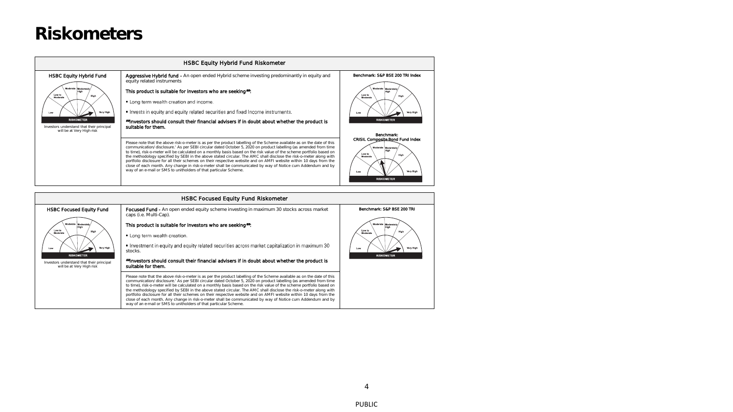### **Riskometers**

| <b>HSBC Equity Hybrid Fund Riskometer</b>                                                                                                                                                              |                                                                                                                                                                                                                                                                                                                                                                                                                                                                                                                                                                                                                                                                                                                                                                                                     |                                                                                                                                              |  |  |  |  |
|--------------------------------------------------------------------------------------------------------------------------------------------------------------------------------------------------------|-----------------------------------------------------------------------------------------------------------------------------------------------------------------------------------------------------------------------------------------------------------------------------------------------------------------------------------------------------------------------------------------------------------------------------------------------------------------------------------------------------------------------------------------------------------------------------------------------------------------------------------------------------------------------------------------------------------------------------------------------------------------------------------------------------|----------------------------------------------------------------------------------------------------------------------------------------------|--|--|--|--|
| <b>HSBC Equity Hybrid Fund</b><br>Moderate Moderately<br>Low to<br>High<br>Moderate<br>Very High<br>Low<br><b>RISKOMETER</b><br>Investors understand that their principal<br>will be at Very High risk | <b>Aggressive Hybrid fund -</b> An open ended Hybrid scheme investing predominantly in equity and<br>equity related instruments<br>This product is suitable for investors who are seeking#:<br>• Long term wealth creation and income.<br>• Invests in equity and equity related securities and fixed Income instruments.<br>**Investors should consult their financial advisers if in doubt about whether the product is<br>suitable for them.                                                                                                                                                                                                                                                                                                                                                     | Benchmark: S&P BSE 200 TRI Index<br>Moderate Moderately<br>Low to<br>High<br>Moderate<br>Very High<br>Low<br><b>RISKOMETER</b><br>Benchmark: |  |  |  |  |
|                                                                                                                                                                                                        | Please note that the above risk-o-meter is as per the product labelling of the Scheme available as on the date of this<br>communication/ disclosure.' As per SEBI circular dated October 5, 2020 on product labelling (as amended from time<br>to time), risk-o-meter will be calculated on a monthly basis based on the risk value of the scheme portfolio based on<br>the methodology specified by SEBI in the above stated circular. The AMC shall disclose the risk-o-meter along with<br>portfolio disclosure for all their schemes on their respective website and on AMFI website within 10 days from the<br>close of each month. Any change in risk-o-meter shall be communicated by way of Notice cum Addendum and by<br>way of an e-mail or SMS to unitholders of that particular Scheme. | CRISIL Composite Bond Fund Index<br>Moderate Moderately<br>Low to<br>High<br>Moderate<br>Very High<br>Low<br><b>DICKOMETER</b>               |  |  |  |  |

| <b>HSBC Focused Equity Fund Riskometer</b>                                                                                                                                                                      |                                                                                                                                                                                                                                                                                                                                                                                                                                                                                                                                                                                                                                                                                                                                                                                                     |                                                                                                                                  |  |  |  |  |
|-----------------------------------------------------------------------------------------------------------------------------------------------------------------------------------------------------------------|-----------------------------------------------------------------------------------------------------------------------------------------------------------------------------------------------------------------------------------------------------------------------------------------------------------------------------------------------------------------------------------------------------------------------------------------------------------------------------------------------------------------------------------------------------------------------------------------------------------------------------------------------------------------------------------------------------------------------------------------------------------------------------------------------------|----------------------------------------------------------------------------------------------------------------------------------|--|--|--|--|
| <b>HSBC Focused Equity Fund</b><br>Moderate Moderately<br>High<br>Low to<br>High<br>Moderate<br>Very High<br>Low<br><b>RISKOMETER</b><br>Investors understand that their principal<br>will be at Very High risk | <b>Focused Fund -</b> An open ended equity scheme investing in maximum 30 stocks across market<br>caps (i.e. Multi-Cap).<br>This product is suitable for investors who are seeking.<br>• Long term wealth creation.<br>• Investment in equity and equity related securities across market capitalization in maximum 30<br>stocks.<br>**Investors should consult their financial advisers if in doubt about whether the product is<br>suitable for them.                                                                                                                                                                                                                                                                                                                                             | Benchmark: S&P BSE 200 TRI<br>Moderate Moderately<br>High<br>Low to<br>High<br>Moderate<br>Very High<br>Low<br><b>RISKOMETER</b> |  |  |  |  |
|                                                                                                                                                                                                                 | Please note that the above risk-o-meter is as per the product labelling of the Scheme available as on the date of this<br>communication/ disclosure.' As per SEBI circular dated October 5, 2020 on product labelling (as amended from time<br>to time), risk-o-meter will be calculated on a monthly basis based on the risk value of the scheme portfolio based on<br>the methodology specified by SEBI in the above stated circular. The AMC shall disclose the risk-o-meter along with<br>portfolio disclosure for all their schemes on their respective website and on AMFI website within 10 days from the<br>close of each month. Any change in risk-o-meter shall be communicated by way of Notice cum Addendum and by<br>way of an e-mail or SMS to unitholders of that particular Scheme. |                                                                                                                                  |  |  |  |  |

4